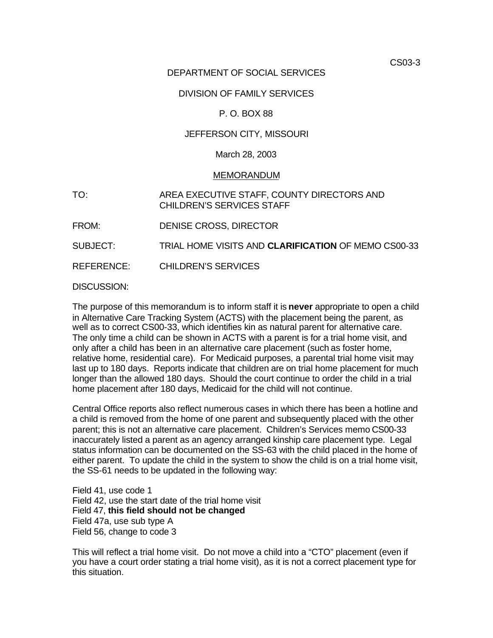CS03-3

# DEPARTMENT OF SOCIAL SERVICES

## DIVISION OF FAMILY SERVICES

## P. O. BOX 88

## JEFFERSON CITY, MISSOURI

## March 28, 2003

### MEMORANDUM

- TO: AREA EXECUTIVE STAFF, COUNTY DIRECTORS AND CHILDREN'S SERVICES STAFF
- FROM: DENISE CROSS, DIRECTOR
- SUBJECT: TRIAL HOME VISITS AND **CLARIFICATION** OF MEMO CS00-33

REFERENCE: CHILDREN'S SERVICES

### DISCUSSION:

The purpose of this memorandum is to inform staff it is **never** appropriate to open a child in Alternative Care Tracking System (ACTS) with the placement being the parent, as well as to correct CS00-33, which identifies kin as natural parent for alternative care. The only time a child can be shown in ACTS with a parent is for a trial home visit, and only after a child has been in an alternative care placement (such as foster home, relative home, residential care). For Medicaid purposes, a parental trial home visit may last up to 180 days. Reports indicate that children are on trial home placement for much longer than the allowed 180 days. Should the court continue to order the child in a trial home placement after 180 days, Medicaid for the child will not continue.

Central Office reports also reflect numerous cases in which there has been a hotline and a child is removed from the home of one parent and subsequently placed with the other parent; this is not an alternative care placement. Children's Services memo CS00-33 inaccurately listed a parent as an agency arranged kinship care placement type. Legal status information can be documented on the SS-63 with the child placed in the home of either parent. To update the child in the system to show the child is on a trial home visit, the SS-61 needs to be updated in the following way:

Field 41, use code 1 Field 42, use the start date of the trial home visit Field 47, **this field should not be changed**  Field 47a, use sub type A Field 56, change to code 3

This will reflect a trial home visit. Do not move a child into a "CTO" placement (even if you have a court order stating a trial home visit), as it is not a correct placement type for this situation.